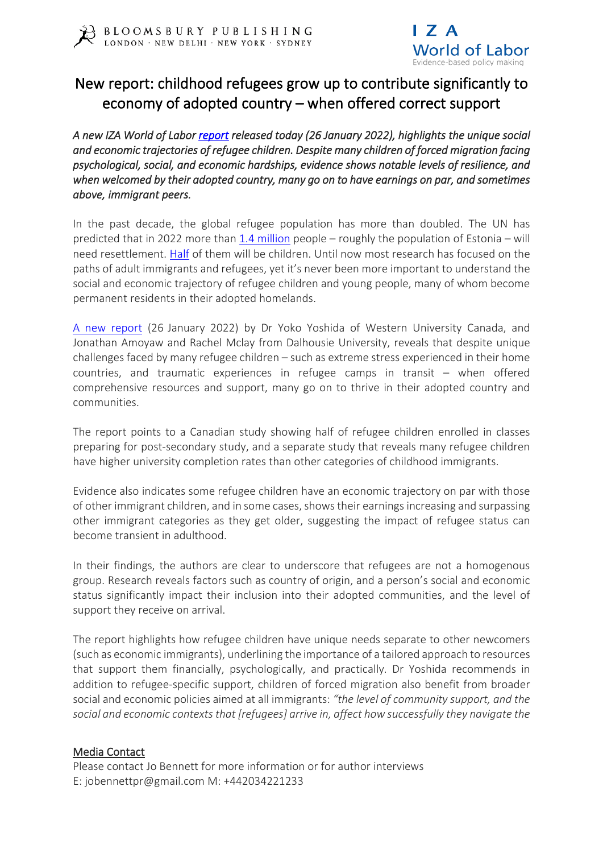



## New report: childhood refugees grow up to contribute significantly to economy of adopted country – when offered correct support

*A new IZA World of Labor [report](https://wol.iza.org/articles/refugee-childrens-earnings-in-adulthood) released today (26 January 2022), highlights the unique social and economic trajectories of refugee children. Despite many children of forced migration facing psychological, social, and economic hardships, evidence shows notable levels of resilience, and when welcomed by their adopted country, many go on to have earnings on par, and sometimes above, immigrant peers.* 

In the past decade, the global refugee population has more than doubled. The UN has predicted that in 2022 more than 1.4 [million](https://www.unhcr.org/news/press/2021/6/60d32ba44/un-refugee-agency-releases-2022-resettlement-needs.html) people – roughly the population of Estonia – will need resettlement. [Half](https://www.unhcr.org/children.html) of them will be children. Until now most research has focused on the paths of adult immigrants and refugees, yet it's never been more important to understand the social and economic trajectory of refugee children and young people, many of whom become permanent residents in their adopted homelands.

A new [report](https://wol.iza.org/articles/refugee-childrens-earnings-in-adulthood) (26 January 2022) by Dr Yoko Yoshida of Western University Canada, and Jonathan Amoyaw and Rachel Mclay from Dalhousie University, reveals that despite unique challenges faced by many refugee children – such as extreme stress experienced in their home countries, and traumatic experiences in refugee camps in transit – when offered comprehensive resources and support, many go on to thrive in their adopted country and communities.

The report points to a Canadian study showing half of refugee children enrolled in classes preparing for post-secondary study, and a separate study that reveals many refugee children have higher university completion rates than other categories of childhood immigrants.

Evidence also indicates some refugee children have an economic trajectory on par with those of other immigrant children, and in some cases, shows their earnings increasing and surpassing other immigrant categories as they get older, suggesting the impact of refugee status can become transient in adulthood.

In their findings, the authors are clear to underscore that refugees are not a homogenous group. Research reveals factors such as country of origin, and a person's social and economic status significantly impact their inclusion into their adopted communities, and the level of support they receive on arrival.

The report highlights how refugee children have unique needs separate to other newcomers (such as economic immigrants), underlining the importance of a tailored approach to resources that support them financially, psychologically, and practically. Dr Yoshida recommends in addition to refugee-specific support, children of forced migration also benefit from broader social and economic policies aimed at all immigrants: *"the level of community support, and the social and economic contexts that [refugees] arrive in, affect how successfully they navigate the*

## Media Contact

Please contact Jo Bennett for more information or for author interviews E: jobennettpr@gmail.com M: +442034221233